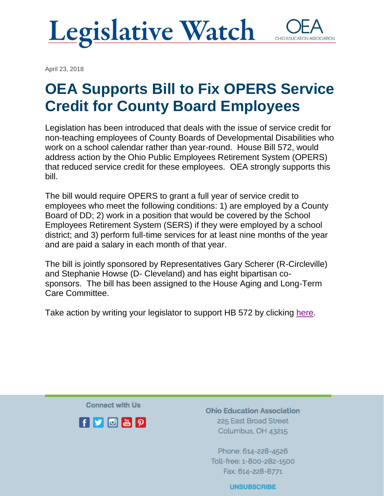## **Legislative Watch** OHIO EDUCATI

April 23, 2018

# **OEA Supports Bill to Fix OPERS Service Credit for County Board Employees**

Legislation has been introduced that deals with the issue of service credit for non-teaching employees of County Boards of Developmental Disabilities who work on a school calendar rather than year-round. House Bill 572, would address action by the Ohio Public Employees Retirement System (OPERS) that reduced service credit for these employees. OEA strongly supports this bill.

The bill would require OPERS to grant a full year of service credit to employees who meet the following conditions: 1) are employed by a County Board of DD; 2) work in a position that would be covered by the School Employees Retirement System (SERS) if they were employed by a school district; and 3) perform full-time services for at least nine months of the year and are paid a salary in each month of that year.

The bill is jointly sponsored by Representatives Gary Scherer (R-Circleville) and Stephanie Howse (D- Cleveland) and has eight bipartisan cosponsors. The bill has been assigned to the House Aging and Long-Term Care Committee.

Take action by writing your legislator to support HB 572 by clicking [here.](https://actionnetwork.org/letters/urge-legislators-fix-opers-service-credit-for-county-board-employees?source=direct_link&)

**Connect with Us** 



**Ohio Education Association** 225 East Broad Street Columbus, OH 43215

Phone: 614-228-4526 Toll-free: 1-800-282-1500 Fax: 614-228-8771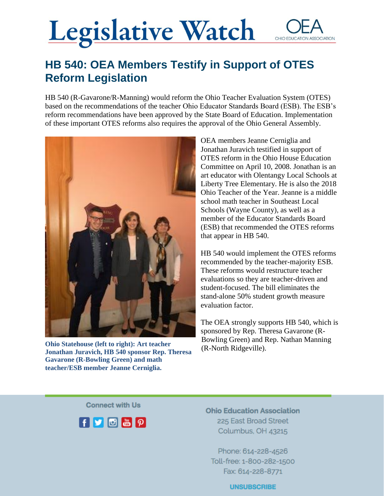## **Legislative Watch** OHIO EDUCATION ASSOCIATION

### **HB 540: OEA Members Testify in Support of OTES Reform Legislation**

HB 540 (R-Gavarone/R-Manning) would reform the Ohio Teacher Evaluation System (OTES) based on the recommendations of the teacher Ohio Educator Standards Board (ESB). The ESB's reform recommendations have been approved by the State Board of Education. Implementation of these important OTES reforms also requires the approval of the Ohio General Assembly.



(R-North Ridgeville). **Ohio Statehouse (left to right): Art teacher Jonathan Juravich, HB 540 sponsor Rep. Theresa Gavarone (R-Bowling Green) and math teacher/ESB member Jeanne Cerniglia.** 

OEA members Jeanne Cerniglia and Jonathan Juravich testified in support of OTES reform in the Ohio House Education Committee on April 10, 2008. Jonathan is an art educator with Olentangy Local Schools at Liberty Tree Elementary. He is also the 2018 Ohio Teacher of the Year. Jeanne is a middle school math teacher in Southeast Local Schools (Wayne County), as well as a member of the Educator Standards Board (ESB) that recommended the OTES reforms that appear in HB 540.

HB 540 would implement the OTES reforms recommended by the teacher-majority ESB. These reforms would restructure teacher evaluations so they are teacher-driven and student-focused. The bill eliminates the stand-alone 50% student growth measure evaluation factor.

The OEA strongly supports HB 540, which is sponsored by Rep. Theresa Gavarone (R-Bowling Green) and Rep. Nathan Manning

**Connect with Us** 



**Ohio Education Association** 225 East Broad Street Columbus, OH 43215

Phone: 614-228-4526 Toll-free: 1-800-282-1500 Fax: 614-228-8771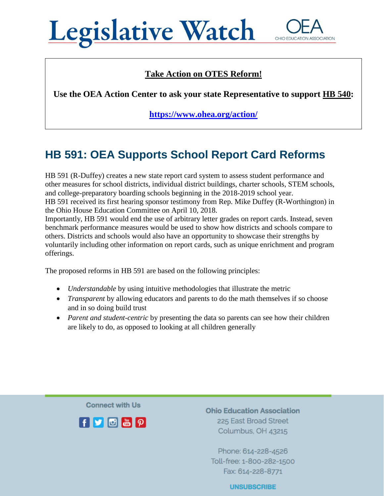# **Legislative Watch**



OHIO EDUCATI

### **Take Action on OTES Reform!**

**Use the OEA Action Center to ask your state Representative to support HB 540:**

**<https://www.ohea.org/action/>**

## **HB 591: OEA Supports School Report Card Reforms**

HB 591 (R-Duffey) creates a new state report card system to assess student performance and other measures for school districts, individual district buildings, charter schools, STEM schools, and college-preparatory boarding schools beginning in the 2018-2019 school year. HB 591 received its first hearing sponsor testimony from Rep. Mike Duffey (R-Worthington) in

the Ohio House Education Committee on April 10, 2018.

Importantly, HB 591 would end the use of arbitrary letter grades on report cards. Instead, seven benchmark performance measures would be used to show how districts and schools compare to others. Districts and schools would also have an opportunity to showcase their strengths by voluntarily including other information on report cards, such as unique enrichment and program offerings.

The proposed reforms in HB 591 are based on the following principles:

- *Understandable* by using intuitive methodologies that illustrate the metric
- *Transparent* by allowing educators and parents to do the math themselves if so choose and in so doing build trust
- *Parent and student-centric* by presenting the data so parents can see how their children are likely to do, as opposed to looking at all children generally

**Connect with Us** 



**Ohio Education Association** 225 East Broad Street Columbus, OH 43215

Phone: 614-228-4526 Toll-free: 1-800-282-1500 Fax: 614-228-8771